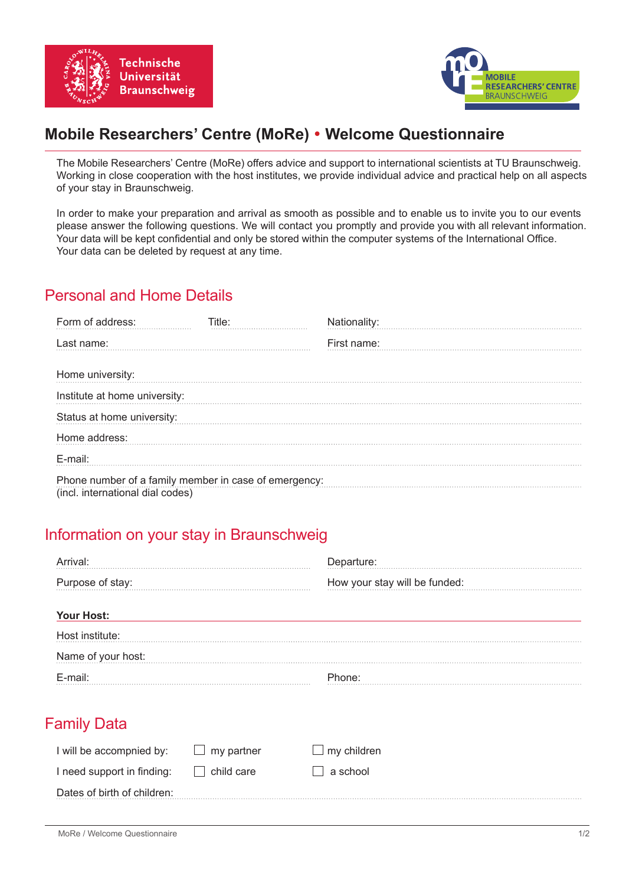



# **Mobile Researchers' Centre (MoRe) Welcome Questionnaire**

The Mobile Researchers' Centre (MoRe) offers advice and support to international scientists at TU Braunschweig. Working in close cooperation with the host institutes, we provide individual advice and practical help on all aspects of your stay in Braunschweig.

In order to make your preparation and arrival as smooth as possible and to enable us to invite you to our events please answer the following questions. We will contact you promptly and provide you with all relevant information. Your data will be kept confidential and only be stored within the computer systems of the International Office. Your data can be deleted by request at any time.

#### Personal and Home Details

| Form of address:                                                                          | Title∸ | Nationality: |
|-------------------------------------------------------------------------------------------|--------|--------------|
| Last name:                                                                                |        | First name:  |
| Home university:                                                                          |        |              |
| Institute at home university:                                                             |        |              |
| Status at home university:                                                                |        |              |
| Home address:                                                                             |        |              |
| $F$ -mail:                                                                                |        |              |
| Phone number of a family member in case of emergency:<br>(incl. international dial codes) |        |              |

## Information on your stay in Braunschweig

| 'val·              | Departure:                    |  |  |
|--------------------|-------------------------------|--|--|
| Purpose of stay:   | How your stay will be funded: |  |  |
| <b>Your Host:</b>  |                               |  |  |
| Host institute:    |                               |  |  |
| Name of your host: |                               |  |  |
| E-mail:            | Phone:                        |  |  |

## Family Data

| I will be accompnied by:    | my partner | $\Box$ my children |
|-----------------------------|------------|--------------------|
| I need support in finding:  | child care | ∣a school          |
| Dates of birth of children: |            |                    |